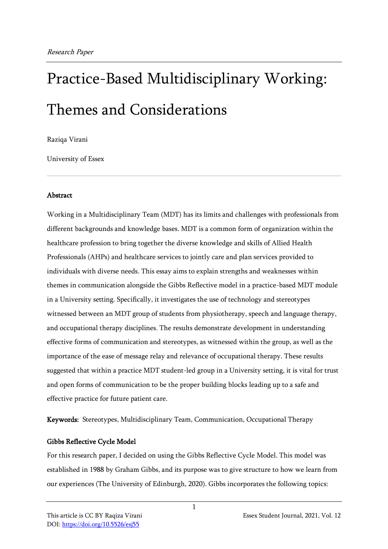# Practice-Based Multidisciplinary Working: Themes and Considerations

Raziqa Virani

University of Essex

#### Abstract

Working in a Multidisciplinary Team (MDT) has its limits and challenges with professionals from different backgrounds and knowledge bases. MDT is a common form of organization within the healthcare profession to bring together the diverse knowledge and skills of Allied Health Professionals (AHPs) and healthcare services to jointly care and plan services provided to individuals with diverse needs. This essay aims to explain strengths and weaknesses within themes in communication alongside the Gibbs Reflective model in a practice-based MDT module in a University setting. Specifically, it investigates the use of technology and stereotypes witnessed between an MDT group of students from physiotherapy, speech and language therapy, and occupational therapy disciplines. The results demonstrate development in understanding effective forms of communication and stereotypes, as witnessed within the group, as well as the importance of the ease of message relay and relevance of occupational therapy. These results suggested that within a practice MDT student-led group in a University setting, it is vital for trust and open forms of communication to be the proper building blocks leading up to a safe and effective practice for future patient care.

Keywords: Stereotypes, Multidisciplinary Team, Communication, Occupational Therapy

## Gibbs Reflective Cycle Model

For this research paper, I decided on using the Gibbs Reflective Cycle Model. This model was established in 1988 by Graham Gibbs, and its purpose was to give structure to how we learn from our experiences (The University of Edinburgh, 2020). Gibbs incorporates the following topics:

1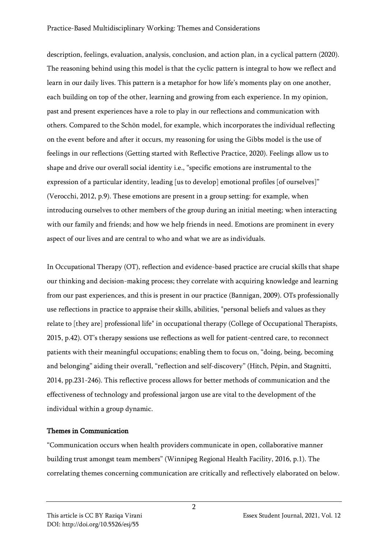description, feelings, evaluation, analysis, conclusion, and action plan, in a cyclical pattern (2020). The reasoning behind using this model is that the cyclic pattern is integral to how we reflect and learn in our daily lives. This pattern is a metaphor for how life's moments play on one another, each building on top of the other, learning and growing from each experience. In my opinion, past and present experiences have a role to play in our reflections and communication with others. Compared to the Schön model, for example, which incorporates the individual reflecting on the event before and after it occurs, my reasoning for using the Gibbs model is the use of feelings in our reflections (Getting started with Reflective Practice, 2020). Feelings allow us to shape and drive our overall social identity i.e., "specific emotions are instrumental to the expression of a particular identity, leading [us to develop] emotional profiles [of ourselves]" (Verocchi, 2012, p.9). These emotions are present in a group setting: for example, when introducing ourselves to other members of the group during an initial meeting; when interacting with our family and friends; and how we help friends in need. Emotions are prominent in every aspect of our lives and are central to who and what we are as individuals.

In Occupational Therapy (OT), reflection and evidence-based practice are crucial skills that shape our thinking and decision-making process; they correlate with acquiring knowledge and learning from our past experiences, and this is present in our practice (Bannigan, 2009). OTs professionally use reflections in practice to appraise their skills, abilities, "personal beliefs and values as they relate to [they are] professional life" in occupational therapy (College of Occupational Therapists, 2015, p.42). OT's therapy sessions use reflections as well for patient-centred care, to reconnect patients with their meaningful occupations; enabling them to focus on, "doing, being, becoming and belonging" aiding their overall, "reflection and self-discovery" (Hitch, Pépin, and Stagnitti, 2014, pp.231-246). This reflective process allows for better methods of communication and the effectiveness of technology and professional jargon use are vital to the development of the individual within a group dynamic.

## Themes in Communication

"Communication occurs when health providers communicate in open, collaborative manner building trust amongst team members" (Winnipeg Regional Health Facility, 2016, p.1). The correlating themes concerning communication are critically and reflectively elaborated on below.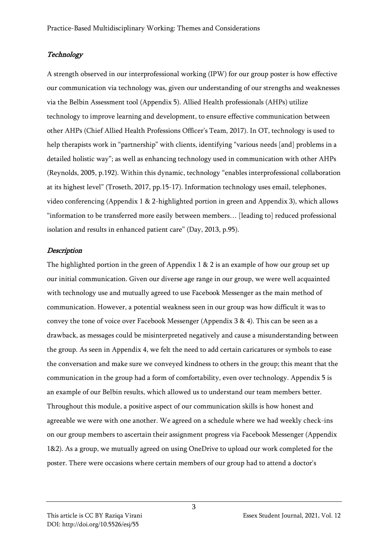#### **Technology**

A strength observed in our interprofessional working (IPW) for our group poster is how effective our communication via technology was, given our understanding of our strengths and weaknesses via the Belbin Assessment tool (Appendix 5). Allied Health professionals (AHPs) utilize technology to improve learning and development, to ensure effective communication between other AHPs (Chief Allied Health Professions Officer's Team, 2017). In OT, technology is used to help therapists work in "partnership" with clients, identifying "various needs [and] problems in a detailed holistic way"; as well as enhancing technology used in communication with other AHPs (Reynolds, 2005, p.192). Within this dynamic, technology "enables interprofessional collaboration at its highest level" (Troseth, 2017, pp.15-17). Information technology uses email, telephones, video conferencing (Appendix 1 & 2-highlighted portion in green and Appendix 3), which allows "information to be transferred more easily between members… [leading to] reduced professional isolation and results in enhanced patient care" (Day, 2013, p.95).

#### **Description**

The highlighted portion in the green of Appendix 1 & 2 is an example of how our group set up our initial communication. Given our diverse age range in our group, we were well acquainted with technology use and mutually agreed to use Facebook Messenger as the main method of communication. However, a potential weakness seen in our group was how difficult it was to convey the tone of voice over Facebook Messenger (Appendix 3 & 4). This can be seen as a drawback, as messages could be misinterpreted negatively and cause a misunderstanding between the group. As seen in Appendix 4, we felt the need to add certain caricatures or symbols to ease the conversation and make sure we conveyed kindness to others in the group; this meant that the communication in the group had a form of comfortability, even over technology. Appendix 5 is an example of our Belbin results, which allowed us to understand our team members better. Throughout this module, a positive aspect of our communication skills is how honest and agreeable we were with one another. We agreed on a schedule where we had weekly check-ins on our group members to ascertain their assignment progress via Facebook Messenger (Appendix 1&2). As a group, we mutually agreed on using OneDrive to upload our work completed for the poster. There were occasions where certain members of our group had to attend a doctor's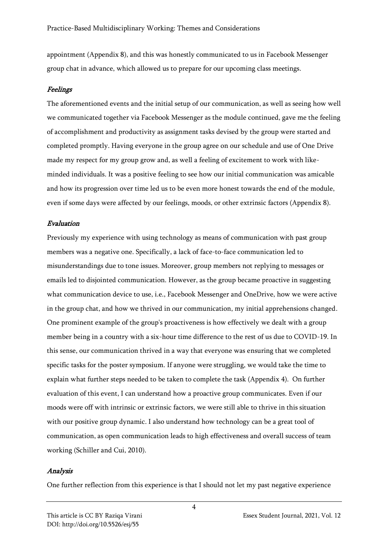appointment (Appendix 8), and this was honestly communicated to us in Facebook Messenger group chat in advance, which allowed us to prepare for our upcoming class meetings.

#### Feelings

The aforementioned events and the initial setup of our communication, as well as seeing how well we communicated together via Facebook Messenger as the module continued, gave me the feeling of accomplishment and productivity as assignment tasks devised by the group were started and completed promptly. Having everyone in the group agree on our schedule and use of One Drive made my respect for my group grow and, as well a feeling of excitement to work with likeminded individuals. It was a positive feeling to see how our initial communication was amicable and how its progression over time led us to be even more honest towards the end of the module, even if some days were affected by our feelings, moods, or other extrinsic factors (Appendix 8).

#### Evaluation

Previously my experience with using technology as means of communication with past group members was a negative one. Specifically, a lack of face-to-face communication led to misunderstandings due to tone issues. Moreover, group members not replying to messages or emails led to disjointed communication. However, as the group became proactive in suggesting what communication device to use, i.e., Facebook Messenger and OneDrive, how we were active in the group chat, and how we thrived in our communication, my initial apprehensions changed. One prominent example of the group's proactiveness is how effectively we dealt with a group member being in a country with a six-hour time difference to the rest of us due to COVID-19. In this sense, our communication thrived in a way that everyone was ensuring that we completed specific tasks for the poster symposium. If anyone were struggling, we would take the time to explain what further steps needed to be taken to complete the task (Appendix 4). On further evaluation of this event, I can understand how a proactive group communicates. Even if our moods were off with intrinsic or extrinsic factors, we were still able to thrive in this situation with our positive group dynamic. I also understand how technology can be a great tool of communication, as open communication leads to high effectiveness and overall success of team working (Schiller and Cui, 2010).

#### Analysis

One further reflection from this experience is that I should not let my past negative experience

This article is CC BY Raziqa Virani Essex Student Journal, 2021, Vol. 12

4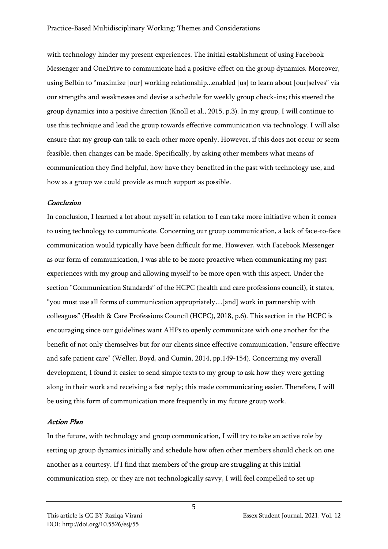with technology hinder my present experiences. The initial establishment of using Facebook Messenger and OneDrive to communicate had a positive effect on the group dynamics. Moreover, using Belbin to "maximize [our] working relationship...enabled [us] to learn about [our]selves" via our strengths and weaknesses and devise a schedule for weekly group check-ins; this steered the group dynamics into a positive direction (Knoll et al., 2015, p.3). In my group, I will continue to use this technique and lead the group towards effective communication via technology. I will also ensure that my group can talk to each other more openly. However, if this does not occur or seem feasible, then changes can be made. Specifically, by asking other members what means of communication they find helpful, how have they benefited in the past with technology use, and how as a group we could provide as much support as possible.

#### Conclusion

In conclusion, I learned a lot about myself in relation to I can take more initiative when it comes to using technology to communicate. Concerning our group communication, a lack of face-to-face communication would typically have been difficult for me. However, with Facebook Messenger as our form of communication, I was able to be more proactive when communicating my past experiences with my group and allowing myself to be more open with this aspect. Under the section "Communication Standards" of the HCPC (health and care professions council), it states, "you must use all forms of communication appropriately…[and] work in partnership with colleagues" (Health & Care Professions Council (HCPC), 2018, p.6). This section in the HCPC is encouraging since our guidelines want AHPs to openly communicate with one another for the benefit of not only themselves but for our clients since effective communication, "ensure effective and safe patient care" (Weller, Boyd, and Cumin, 2014, pp.149-154). Concerning my overall development, I found it easier to send simple texts to my group to ask how they were getting along in their work and receiving a fast reply; this made communicating easier. Therefore, I will be using this form of communication more frequently in my future group work.

## Action Plan

In the future, with technology and group communication, I will try to take an active role by setting up group dynamics initially and schedule how often other members should check on one another as a courtesy. If I find that members of the group are struggling at this initial communication step, or they are not technologically savvy, I will feel compelled to set up

5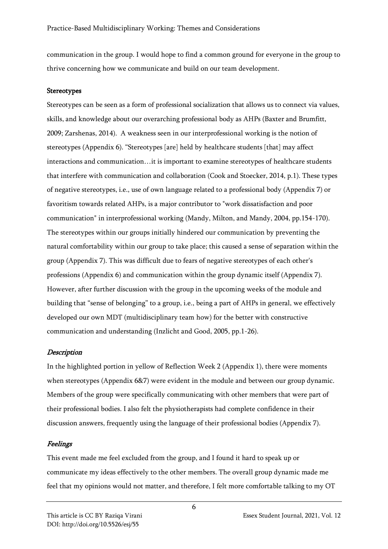communication in the group. I would hope to find a common ground for everyone in the group to thrive concerning how we communicate and build on our team development.

#### Stereotypes

Stereotypes can be seen as a form of professional socialization that allows us to connect via values, skills, and knowledge about our overarching professional body as AHPs (Baxter and Brumfitt, 2009; Zarshenas, 2014). A weakness seen in our interprofessional working is the notion of stereotypes (Appendix 6). "Stereotypes [are] held by healthcare students [that] may affect interactions and communication…it is important to examine stereotypes of healthcare students that interfere with communication and collaboration (Cook and Stoecker, 2014, p.1). These types of negative stereotypes, i.e., use of own language related to a professional body (Appendix 7) or favoritism towards related AHPs, is a major contributor to "work dissatisfaction and poor communication" in interprofessional working (Mandy, Milton, and Mandy, 2004, pp.154-170). The stereotypes within our groups initially hindered our communication by preventing the natural comfortability within our group to take place; this caused a sense of separation within the group (Appendix 7). This was difficult due to fears of negative stereotypes of each other's professions (Appendix 6) and communication within the group dynamic itself (Appendix 7). However, after further discussion with the group in the upcoming weeks of the module and building that "sense of belonging" to a group, i.e., being a part of AHPs in general, we effectively developed our own MDT (multidisciplinary team how) for the better with constructive communication and understanding (Inzlicht and Good, 2005, pp.1-26).

#### **Description**

In the highlighted portion in yellow of Reflection Week 2 (Appendix 1), there were moments when stereotypes (Appendix 6&7) were evident in the module and between our group dynamic. Members of the group were specifically communicating with other members that were part of their professional bodies. I also felt the physiotherapists had complete confidence in their discussion answers, frequently using the language of their professional bodies (Appendix 7).

#### Feelings

This event made me feel excluded from the group, and I found it hard to speak up or communicate my ideas effectively to the other members. The overall group dynamic made me feel that my opinions would not matter, and therefore, I felt more comfortable talking to my OT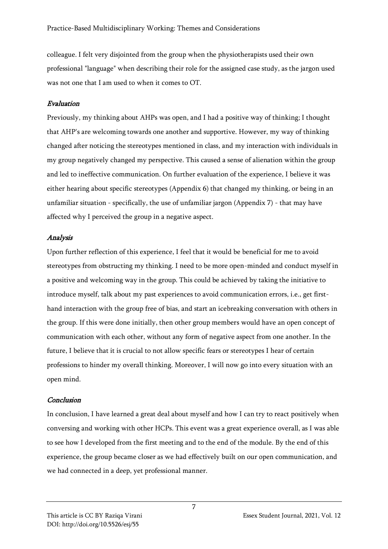colleague. I felt very disjointed from the group when the physiotherapists used their own professional "language" when describing their role for the assigned case study, as the jargon used was not one that I am used to when it comes to OT.

## Evaluation

Previously, my thinking about AHPs was open, and I had a positive way of thinking; I thought that AHP's are welcoming towards one another and supportive. However, my way of thinking changed after noticing the stereotypes mentioned in class, and my interaction with individuals in my group negatively changed my perspective. This caused a sense of alienation within the group and led to ineffective communication. On further evaluation of the experience, I believe it was either hearing about specific stereotypes (Appendix 6) that changed my thinking, or being in an unfamiliar situation - specifically, the use of unfamiliar jargon (Appendix 7) - that may have affected why I perceived the group in a negative aspect.

## Analysis

Upon further reflection of this experience, I feel that it would be beneficial for me to avoid stereotypes from obstructing my thinking. I need to be more open-minded and conduct myself in a positive and welcoming way in the group. This could be achieved by taking the initiative to introduce myself, talk about my past experiences to avoid communication errors, i.e., get firsthand interaction with the group free of bias, and start an icebreaking conversation with others in the group. If this were done initially, then other group members would have an open concept of communication with each other, without any form of negative aspect from one another. In the future, I believe that it is crucial to not allow specific fears or stereotypes I hear of certain professions to hinder my overall thinking. Moreover, I will now go into every situation with an open mind.

## Conclusion

In conclusion, I have learned a great deal about myself and how I can try to react positively when conversing and working with other HCPs. This event was a great experience overall, as I was able to see how I developed from the first meeting and to the end of the module. By the end of this experience, the group became closer as we had effectively built on our open communication, and we had connected in a deep, yet professional manner.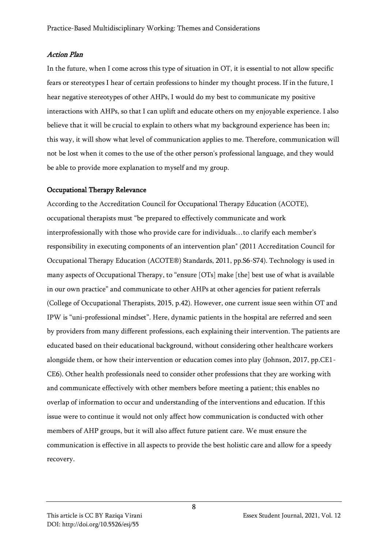#### Action Plan

In the future, when I come across this type of situation in OT, it is essential to not allow specific fears or stereotypes I hear of certain professions to hinder my thought process. If in the future, I hear negative stereotypes of other AHPs, I would do my best to communicate my positive interactions with AHPs, so that I can uplift and educate others on my enjoyable experience. I also believe that it will be crucial to explain to others what my background experience has been in; this way, it will show what level of communication applies to me. Therefore, communication will not be lost when it comes to the use of the other person's professional language, and they would be able to provide more explanation to myself and my group.

#### Occupational Therapy Relevance

According to the Accreditation Council for Occupational Therapy Education (ACOTE), occupational therapists must "be prepared to effectively communicate and work interprofessionally with those who provide care for individuals…to clarify each member's responsibility in executing components of an intervention plan" (2011 Accreditation Council for Occupational Therapy Education (ACOTE®) Standards, 2011, pp.S6-S74). Technology is used in many aspects of Occupational Therapy, to "ensure [OTs] make [the] best use of what is available in our own practice" and communicate to other AHPs at other agencies for patient referrals (College of Occupational Therapists, 2015, p.42). However, one current issue seen within OT and IPW is "uni-professional mindset". Here, dynamic patients in the hospital are referred and seen by providers from many different professions, each explaining their intervention. The patients are educated based on their educational background, without considering other healthcare workers alongside them, or how their intervention or education comes into play (Johnson, 2017, pp.CE1- CE6). Other health professionals need to consider other professions that they are working with and communicate effectively with other members before meeting a patient; this enables no overlap of information to occur and understanding of the interventions and education. If this issue were to continue it would not only affect how communication is conducted with other members of AHP groups, but it will also affect future patient care. We must ensure the communication is effective in all aspects to provide the best holistic care and allow for a speedy recovery.

8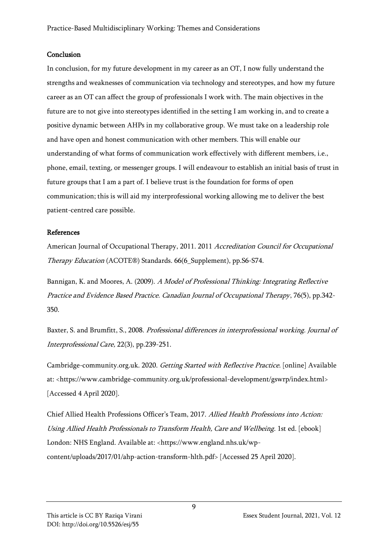#### **Conclusion**

In conclusion, for my future development in my career as an OT, I now fully understand the strengths and weaknesses of communication via technology and stereotypes, and how my future career as an OT can affect the group of professionals I work with. The main objectives in the future are to not give into stereotypes identified in the setting I am working in, and to create a positive dynamic between AHPs in my collaborative group. We must take on a leadership role and have open and honest communication with other members. This will enable our understanding of what forms of communication work effectively with different members, i.e., phone, email, texting, or messenger groups. I will endeavour to establish an initial basis of trust in future groups that I am a part of. I believe trust is the foundation for forms of open communication; this is will aid my interprofessional working allowing me to deliver the best patient-centred care possible.

#### References

American Journal of Occupational Therapy, 2011. 2011 Accreditation Council for Occupational Therapy Education (ACOTE®) Standards. 66(6\_Supplement), pp.S6-S74.

Bannigan, K. and Moores, A. (2009). A Model of Professional Thinking: Integrating Reflective Practice and Evidence Based Practice. Canadian Journal of Occupational Therapy, 76(5), pp.342- 350.

Baxter, S. and Brumfitt, S., 2008. Professional differences in interprofessional working. Journal of Interprofessional Care, 22(3), pp.239-251.

Cambridge-community.org.uk. 2020. Getting Started with Reflective Practice. [online] Available at: <https://www.cambridge-community.org.uk/professional-development/gswrp/index.html> [Accessed 4 April 2020].

Chief Allied Health Professions Officer's Team, 2017. Allied Health Professions into Action: Using Allied Health Professionals to Transform Health, Care and Wellbeing. 1st ed. [ebook] London: NHS England. Available at: <https://www.england.nhs.uk/wpcontent/uploads/2017/01/ahp-action-transform-hlth.pdf> [Accessed 25 April 2020].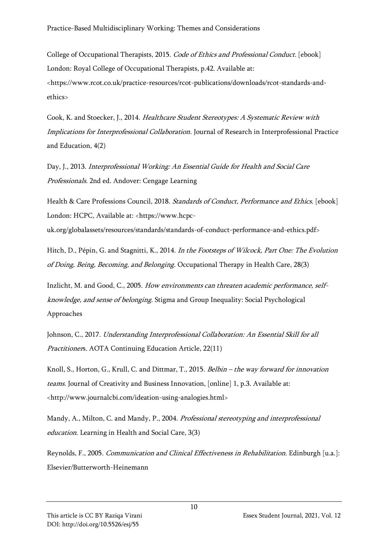College of Occupational Therapists, 2015. Code of Ethics and Professional Conduct. [ebook] London: Royal College of Occupational Therapists, p.42. Available at: <https://www.rcot.co.uk/practice-resources/rcot-publications/downloads/rcot-standards-andethics>

Cook, K. and Stoecker, J., 2014. Healthcare Student Stereotypes: A Systematic Review with Implications for Interprofessional Collaboration. Journal of Research in Interprofessional Practice and Education, 4(2)

Day, J., 2013. Interprofessional Working: An Essential Guide for Health and Social Care Professionals. 2nd ed. Andover: Cengage Learning

Health & Care Professions Council, 2018. Standards of Conduct, Performance and Ethics. [ebook] London: HCPC, Available at: <https://www.hcpcuk.org/globalassets/resources/standards/standards-of-conduct-performance-and-ethics.pdf>

Hitch, D., Pépin, G. and Stagnitti, K., 2014. In the Footsteps of Wilcock, Part One: The Evolution of Doing, Being, Becoming, and Belonging. Occupational Therapy in Health Care, 28(3)

Inzlicht, M. and Good, C., 2005. How environments can threaten academic performance, selfknowledge, and sense of belonging. Stigma and Group Inequality: Social Psychological Approaches

Johnson, C., 2017. Understanding Interprofessional Collaboration: An Essential Skill for all Practitioners. AOTA Continuing Education Article, 22(11)

Knoll, S., Horton, G., Krull, C. and Dittmar, T., 2015. Belbin – the way forward for innovation teams. Journal of Creativity and Business Innovation, [online] 1, p.3. Available at: <http://www.journalcbi.com/ideation-using-analogies.html>

Mandy, A., Milton, C. and Mandy, P., 2004. Professional stereotyping and interprofessional education. Learning in Health and Social Care, 3(3)

Reynolds, F., 2005. Communication and Clinical Effectiveness in Rehabilitation. Edinburgh [u.a.]: Elsevier/Butterworth-Heinemann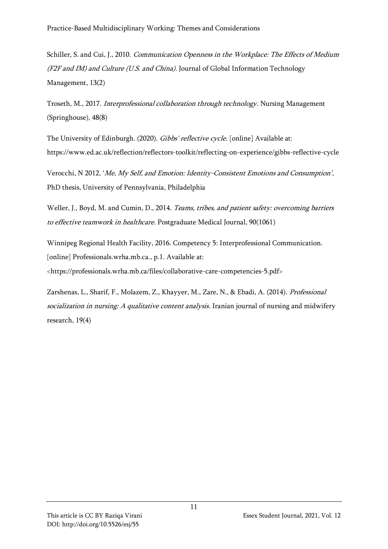Schiller, S. and Cui, J., 2010. Communication Openness in the Workplace: The Effects of Medium (F2F and IM) and Culture (U.S. and China). Journal of Global Information Technology Management, 13(2)

Troseth, M., 2017. Interprofessional collaboration through technology. Nursing Management (Springhouse), 48(8)

The University of Edinburgh. (2020). Gibbs' reflective cycle. [online] Available at: https://www.ed.ac.uk/reflection/reflectors-toolkit/reflecting-on-experience/gibbs-reflective-cycle

Verocchi, N 2012, 'Me, My Self, and Emotion: Identity-Consistent Emotions and Consumption', PhD thesis, University of Pennsylvania, Philadelphia

Weller, J., Boyd, M. and Cumin, D., 2014. Teams, tribes, and patient safety: overcoming barriers to effective teamwork in healthcare. Postgraduate Medical Journal, 90(1061)

Winnipeg Regional Health Facility, 2016. Competency 5: Interprofessional Communication. [online] Professionals.wrha.mb.ca., p.1. Available at:

<https://professionals.wrha.mb.ca/files/collaborative-care-competencies-5.pdf>

Zarshenas, L., Sharif, F., Molazem, Z., Khayyer, M., Zare, N., & Ebadi, A. (2014). Professional socialization in nursing: A qualitative content analysis. Iranian journal of nursing and midwifery research, 19(4)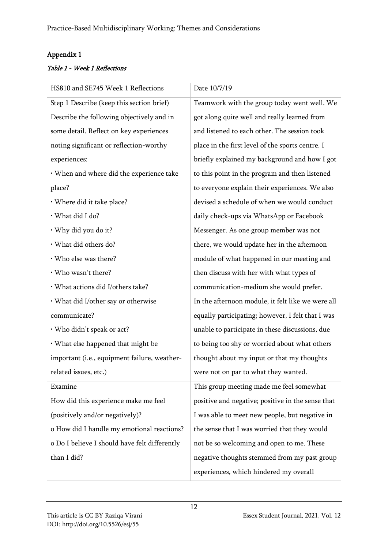# Appendix 1

# Table 1 - Week 1 Reflections

| HS810 and SE745 Week 1 Reflections            | Date 10/7/19                                      |
|-----------------------------------------------|---------------------------------------------------|
| Step 1 Describe (keep this section brief)     | Teamwork with the group today went well. We       |
| Describe the following objectively and in     | got along quite well and really learned from      |
| some detail. Reflect on key experiences       | and listened to each other. The session took      |
| noting significant or reflection-worthy       | place in the first level of the sports centre. I  |
| experiences:                                  | briefly explained my background and how I got     |
| · When and where did the experience take      | to this point in the program and then listened    |
| place?                                        | to everyone explain their experiences. We also    |
| · Where did it take place?                    | devised a schedule of when we would conduct       |
| · What did I do?                              | daily check-ups via WhatsApp or Facebook          |
| · Why did you do it?                          | Messenger. As one group member was not            |
| · What did others do?                         | there, we would update her in the afternoon       |
| · Who else was there?                         | module of what happened in our meeting and        |
| · Who wasn't there?                           | then discuss with her with what types of          |
| · What actions did I/others take?             | communication-medium she would prefer.            |
| • What did I/other say or otherwise           | In the afternoon module, it felt like we were all |
| communicate?                                  | equally participating; however, I felt that I was |
| · Who didn't speak or act?                    | unable to participate in these discussions, due   |
| · What else happened that might be            | to being too shy or worried about what others     |
| important (i.e., equipment failure, weather-  | thought about my input or that my thoughts        |
| related issues, etc.)                         | were not on par to what they wanted.              |
| Examine                                       | This group meeting made me feel somewhat          |
| How did this experience make me feel          | positive and negative; positive in the sense that |
| (positively and/or negatively)?               | I was able to meet new people, but negative in    |
| o How did I handle my emotional reactions?    | the sense that I was worried that they would      |
| o Do I believe I should have felt differently | not be so welcoming and open to me. These         |
| than I did?                                   | negative thoughts stemmed from my past group      |
|                                               | experiences, which hindered my overall            |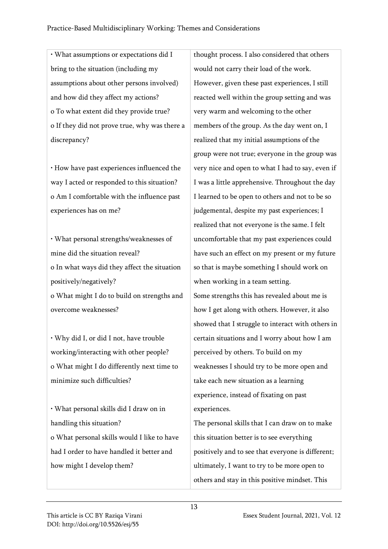• What assumptions or expectations did I bring to the situation (including my assumptions about other persons involved) and how did they affect my actions? o To what extent did they provide true? o If they did not prove true, why was there a discrepancy?

• How have past experiences influenced the way I acted or responded to this situation? o Am I comfortable with the influence past experiences has on me?

• What personal strengths/weaknesses of mine did the situation reveal? o In what ways did they affect the situation positively/negatively? o What might I do to build on strengths and

overcome weaknesses?

• Why did I, or did I not, have trouble working/interacting with other people? o What might I do differently next time to minimize such difficulties?

• What personal skills did I draw on in handling this situation? o What personal skills would I like to have had I order to have handled it better and how might I develop them?

thought process. I also considered that others would not carry their load of the work. However, given these past experiences, I still reacted well within the group setting and was very warm and welcoming to the other members of the group. As the day went on, I realized that my initial assumptions of the group were not true; everyone in the group was very nice and open to what I had to say, even if I was a little apprehensive. Throughout the day I learned to be open to others and not to be so judgemental, despite my past experiences; I realized that not everyone is the same. I felt uncomfortable that my past experiences could have such an effect on my present or my future so that is maybe something I should work on when working in a team setting. Some strengths this has revealed about me is how I get along with others. However, it also showed that I struggle to interact with others in certain situations and I worry about how I am perceived by others. To build on my weaknesses I should try to be more open and take each new situation as a learning experience, instead of fixating on past experiences.

The personal skills that I can draw on to make this situation better is to see everything positively and to see that everyone is different; ultimately, I want to try to be more open to others and stay in this positive mindset. This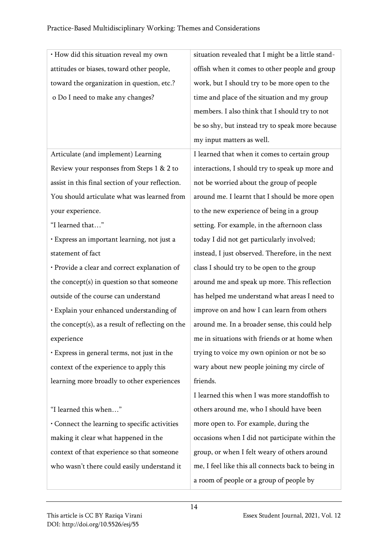| · How did this situation reveal my own           | situation revealed that I might be a little stand- |
|--------------------------------------------------|----------------------------------------------------|
| attitudes or biases, toward other people,        | offish when it comes to other people and group     |
| toward the organization in question, etc.?       | work, but I should try to be more open to the      |
| o Do I need to make any changes?                 | time and place of the situation and my group       |
|                                                  | members. I also think that I should try to not     |
|                                                  | be so shy, but instead try to speak more because   |
|                                                  | my input matters as well.                          |
| Articulate (and implement) Learning              | I learned that when it comes to certain group      |
| Review your responses from Steps 1 & 2 to        | interactions, I should try to speak up more and    |
| assist in this final section of your reflection. | not be worried about the group of people           |
| You should articulate what was learned from      | around me. I learnt that I should be more open     |
| your experience.                                 | to the new experience of being in a group          |
| "I learned that"                                 | setting. For example, in the afternoon class       |
| · Express an important learning, not just a      | today I did not get particularly involved;         |
| statement of fact                                | instead, I just observed. Therefore, in the next   |
| · Provide a clear and correct explanation of     | class I should try to be open to the group         |
| the concept(s) in question so that someone       | around me and speak up more. This reflection       |
| outside of the course can understand             | has helped me understand what areas I need to      |
| · Explain your enhanced understanding of         | improve on and how I can learn from others         |
| the concept(s), as a result of reflecting on the | around me. In a broader sense, this could help     |
| experience                                       | me in situations with friends or at home when      |
| · Express in general terms, not just in the      | trying to voice my own opinion or not be so        |
| context of the experience to apply this          | wary about new people joining my circle of         |
| learning more broadly to other experiences       | friends.                                           |
|                                                  | I learned this when I was more standoffish to      |
| "I learned this when"                            | others around me, who I should have been           |
| Connect the learning to specific activities      | more open to. For example, during the              |
| making it clear what happened in the             | occasions when I did not participate within the    |
| context of that experience so that someone       | group, or when I felt weary of others around       |
| who wasn't there could easily understand it      | me, I feel like this all connects back to being in |
|                                                  | a room of people or a group of people by           |
|                                                  |                                                    |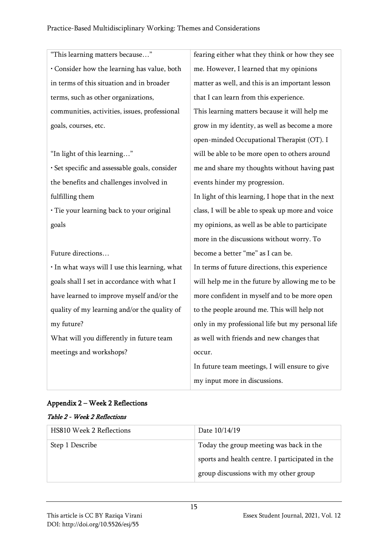"This learning matters because…" • Consider how the learning has value, both in terms of this situation and in broader terms, such as other organizations, communities, activities, issues, professional goals, courses, etc.

"In light of this learning…"

• Set specific and assessable goals, consider the benefits and challenges involved in fulfilling them

• Tie your learning back to your original goals

Future directions…

• In what ways will I use this learning, what goals shall I set in accordance with what I have learned to improve myself and/or the quality of my learning and/or the quality of my future?

What will you differently in future team meetings and workshops?

fearing either what they think or how they see me. However, I learned that my opinions matter as well, and this is an important lesson that I can learn from this experience. This learning matters because it will help me grow in my identity, as well as become a more open-minded Occupational Therapist (OT). I will be able to be more open to others around me and share my thoughts without having past events hinder my progression. In light of this learning, I hope that in the next class, I will be able to speak up more and voice my opinions, as well as be able to participate more in the discussions without worry. To become a better "me" as I can be. In terms of future directions, this experience will help me in the future by allowing me to be more confident in myself and to be more open to the people around me. This will help not only in my professional life but my personal life as well with friends and new changes that occur.

In future team meetings, I will ensure to give my input more in discussions.

# Appendix 2 – Week 2 Reflections

## Table 2 - Week 2 Reflections

| <b>HS810 Week 2 Reflections</b> | Date $10/14/19$                                 |
|---------------------------------|-------------------------------------------------|
| Step 1 Describe                 | Today the group meeting was back in the         |
|                                 | sports and health centre. I participated in the |
|                                 | group discussions with my other group           |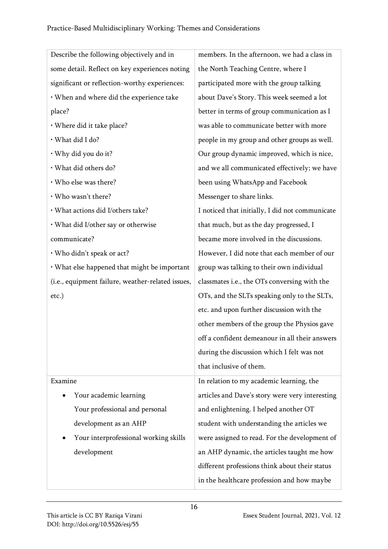| Describe the following objectively and in         | members. In the afternoon, we had a class in    |
|---------------------------------------------------|-------------------------------------------------|
| some detail. Reflect on key experiences noting    | the North Teaching Centre, where I              |
| significant or reflection-worthy experiences:     | participated more with the group talking        |
| · When and where did the experience take          | about Dave's Story. This week seemed a lot      |
| place?                                            | better in terms of group communication as I     |
| · Where did it take place?                        | was able to communicate better with more        |
| · What did I do?                                  | people in my group and other groups as well.    |
| · Why did you do it?                              | Our group dynamic improved, which is nice,      |
| · What did others do?                             | and we all communicated effectively; we have    |
| · Who else was there?                             | been using WhatsApp and Facebook                |
| · Who wasn't there?                               | Messenger to share links.                       |
| · What actions did I/others take?                 | I noticed that initially, I did not communicate |
| • What did I/other say or otherwise               | that much, but as the day progressed, I         |
| communicate?                                      | became more involved in the discussions.        |
| · Who didn't speak or act?                        | However, I did note that each member of our     |
| • What else happened that might be important      | group was talking to their own individual       |
| (i.e., equipment failure, weather-related issues, | classmates i.e., the OTs conversing with the    |
| etc.)                                             | OTs, and the SLTs speaking only to the SLTs,    |
|                                                   | etc. and upon further discussion with the       |
|                                                   | other members of the group the Physios gave     |
|                                                   | off a confident demeanour in all their answers  |
|                                                   | during the discussion which I felt was not      |
|                                                   | that inclusive of them.                         |
| Examine                                           | In relation to my academic learning, the        |
| Your academic learning                            | articles and Dave's story were very interesting |
| Your professional and personal                    | and enlightening. I helped another OT           |
| development as an AHP                             | student with understanding the articles we      |
| Your interprofessional working skills             | were assigned to read. For the development of   |
| development                                       | an AHP dynamic, the articles taught me how      |
|                                                   | different professions think about their status  |
|                                                   | in the healthcare profession and how maybe      |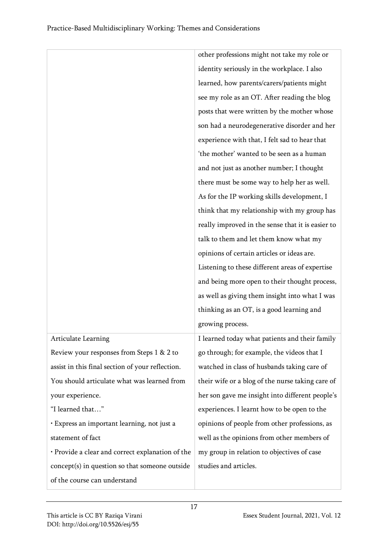|                                                  | other professions might not take my role or       |
|--------------------------------------------------|---------------------------------------------------|
|                                                  | identity seriously in the workplace. I also       |
|                                                  | learned, how parents/carers/patients might        |
|                                                  | see my role as an OT. After reading the blog      |
|                                                  | posts that were written by the mother whose       |
|                                                  | son had a neurodegenerative disorder and her      |
|                                                  | experience with that, I felt sad to hear that     |
|                                                  | 'the mother' wanted to be seen as a human         |
|                                                  | and not just as another number; I thought         |
|                                                  | there must be some way to help her as well.       |
|                                                  | As for the IP working skills development, I       |
|                                                  | think that my relationship with my group has      |
|                                                  | really improved in the sense that it is easier to |
|                                                  | talk to them and let them know what my            |
|                                                  | opinions of certain articles or ideas are.        |
|                                                  | Listening to these different areas of expertise   |
|                                                  | and being more open to their thought process,     |
|                                                  | as well as giving them insight into what I was    |
|                                                  | thinking as an OT, is a good learning and         |
|                                                  | growing process.                                  |
| <b>Articulate Learning</b>                       | I learned today what patients and their family    |
| Review your responses from Steps 1 & 2 to        | go through; for example, the videos that I        |
| assist in this final section of your reflection. | watched in class of husbands taking care of       |
| You should articulate what was learned from      | their wife or a blog of the nurse taking care of  |
| your experience.                                 | her son gave me insight into different people's   |
| "I learned that"                                 | experiences. I learnt how to be open to the       |
| · Express an important learning, not just a      | opinions of people from other professions, as     |
| statement of fact                                | well as the opinions from other members of        |
| · Provide a clear and correct explanation of the | my group in relation to objectives of case        |
| concept(s) in question so that someone outside   | studies and articles.                             |
| of the course can understand                     |                                                   |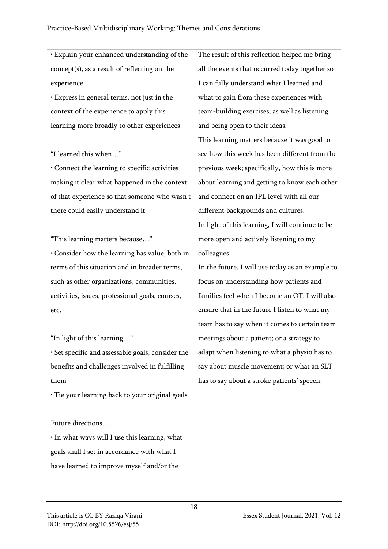• Explain your enhanced understanding of the concept(s), as a result of reflecting on the experience

• Express in general terms, not just in the context of the experience to apply this learning more broadly to other experiences

"I learned this when…"

• Connect the learning to specific activities making it clear what happened in the context of that experience so that someone who wasn't there could easily understand it

"This learning matters because…"

• Consider how the learning has value, both in terms of this situation and in broader terms, such as other organizations, communities, activities, issues, professional goals, courses, etc.

"In light of this learning…"

• Set specific and assessable goals, consider the benefits and challenges involved in fulfilling them

• Tie your learning back to your original goals

Future directions…

• In what ways will I use this learning, what goals shall I set in accordance with what I have learned to improve myself and/or the

The result of this reflection helped me bring all the events that occurred today together so I can fully understand what I learned and what to gain from these experiences with team-building exercises, as well as listening and being open to their ideas.

This learning matters because it was good to see how this week has been different from the previous week; specifically, how this is more about learning and getting to know each other and connect on an IPL level with all our different backgrounds and cultures. In light of this learning, I will continue to be more open and actively listening to my colleagues.

In the future, I will use today as an example to focus on understanding how patients and families feel when I become an OT. I will also ensure that in the future I listen to what my team has to say when it comes to certain team meetings about a patient; or a strategy to adapt when listening to what a physio has to say about muscle movement; or what an SLT has to say about a stroke patients' speech.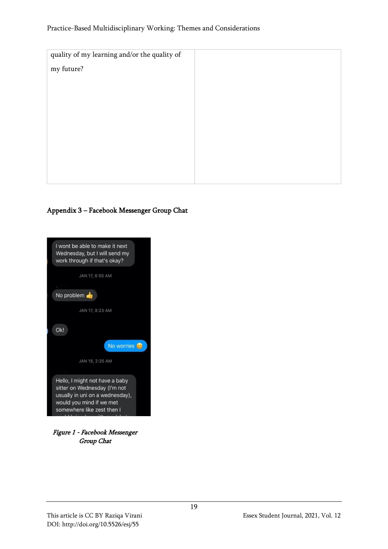#### Practice-Based Multidisciplinary Working: Themes and Considerations

| quality of my learning and/or the quality of |  |
|----------------------------------------------|--|
| my future?                                   |  |
|                                              |  |
|                                              |  |
|                                              |  |
|                                              |  |
|                                              |  |
|                                              |  |
|                                              |  |
|                                              |  |
|                                              |  |

## Appendix 3 – Facebook Messenger Group Chat



Figure 1 - Facebook Messenger Group Chat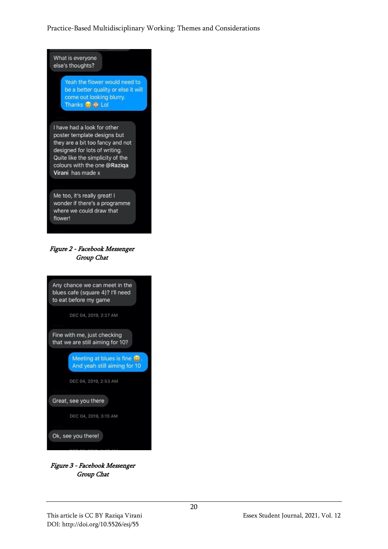## Practice-Based Multidisciplinary Working: Themes and Considerations



Figure 3 - Facebook Messenger Group Chat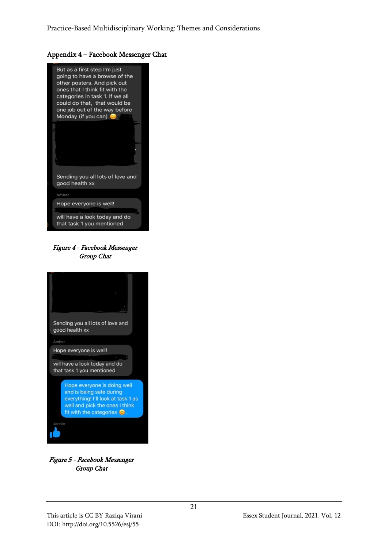#### Appendix 4 – Facebook Messenger Chat



Figure 4 - Facebook Messenger Group Chat



Figure 5 - Facebook Messenger Group Chat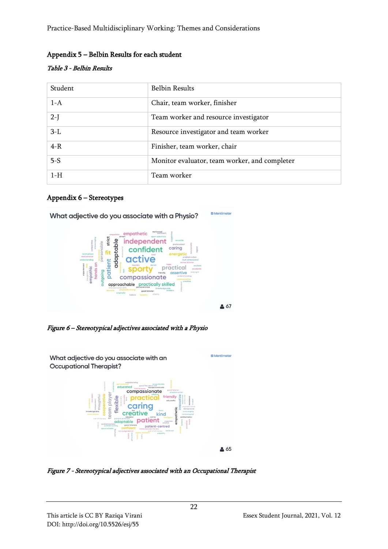Practice-Based Multidisciplinary Working: Themes and Considerations

## Appendix 5 – Belbin Results for each student

#### Table 3 - Belbin Results

| Student | <b>Belbin Results</b>                         |
|---------|-----------------------------------------------|
| $1-A$   | Chair, team worker, finisher                  |
| $2-I$   | Team worker and resource investigator         |
| $3-L$   | Resource investigator and team worker         |
| $4-R$   | Finisher, team worker, chair                  |
| $5-S$   | Monitor evaluator, team worker, and completer |
| $1-H$   | Team worker                                   |

#### Appendix 6 – Stereotypes



Figure 6 – Stereotypical adjectives associated with a Physio



Figure 7 - Stereotypical adjectives associated with an Occupational Therapist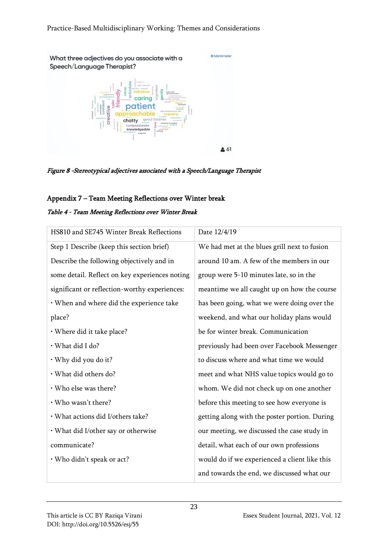**D** Mentimeter What three adjectives do you associate with a Speech/Language Therapist? créative<br>-- <u>Q</u> frie patient approa chatty

 $261$ 

## Figure 8 -Stereotypical adjectives associated with a Speech/Language Therapist

#### Appendix 7 – Team Meeting Reflections over Winter break

#### Table 4 - Team Meeting Reflections over Winter Break

| HS810 and SE745 Winter Break Reflections       | Date 12/4/19                                  |
|------------------------------------------------|-----------------------------------------------|
| Step 1 Describe (keep this section brief)      | We had met at the blues grill next to fusion  |
| Describe the following objectively and in      | around 10 am. A few of the members in our     |
| some detail. Reflect on key experiences noting | group were 5-10 minutes late, so in the       |
| significant or reflection-worthy experiences:  | meantime we all caught up on how the course   |
| · When and where did the experience take       | has been going, what we were doing over the   |
| place?                                         | weekend, and what our holiday plans would     |
| · Where did it take place?                     | be for winter break. Communication            |
| · What did I do?                               | previously had been over Facebook Messenger   |
| · Why did you do it?                           | to discuss where and what time we would       |
| · What did others do?                          | meet and what NHS value topics would go to    |
| · Who else was there?                          | whom. We did not check up on one another      |
| · Who wasn't there?                            | before this meeting to see how everyone is    |
| · What actions did I/others take?              | getting along with the poster portion. During |
| · What did I/other say or otherwise            | our meeting, we discussed the case study in   |
| communicate?                                   | detail, what each of our own professions      |
| · Who didn't speak or act?                     | would do if we experienced a client like this |
|                                                | and towards the end, we discussed what our    |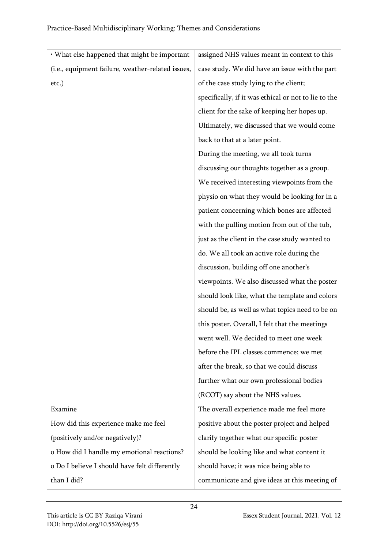| • What else happened that might be important      | assigned NHS values meant in context to this         |
|---------------------------------------------------|------------------------------------------------------|
| (i.e., equipment failure, weather-related issues, | case study. We did have an issue with the part       |
| etc.)                                             | of the case study lying to the client;               |
|                                                   | specifically, if it was ethical or not to lie to the |
|                                                   | client for the sake of keeping her hopes up.         |
|                                                   | Ultimately, we discussed that we would come          |
|                                                   | back to that at a later point.                       |
|                                                   | During the meeting, we all took turns                |
|                                                   | discussing our thoughts together as a group.         |
|                                                   | We received interesting viewpoints from the          |
|                                                   | physio on what they would be looking for in a        |
|                                                   | patient concerning which bones are affected          |
|                                                   | with the pulling motion from out of the tub,         |
|                                                   | just as the client in the case study wanted to       |
|                                                   | do. We all took an active role during the            |
|                                                   | discussion, building off one another's               |
|                                                   | viewpoints. We also discussed what the poster        |
|                                                   | should look like, what the template and colors       |
|                                                   | should be, as well as what topics need to be on      |
|                                                   | this poster. Overall, I felt that the meetings       |
|                                                   | went well. We decided to meet one week               |
|                                                   | before the IPL classes commence; we met              |
|                                                   | after the break, so that we could discuss            |
|                                                   | further what our own professional bodies             |
|                                                   | (RCOT) say about the NHS values.                     |
| Examine                                           | The overall experience made me feel more             |
| How did this experience make me feel              | positive about the poster project and helped         |
| (positively and/or negatively)?                   | clarify together what our specific poster            |
| o How did I handle my emotional reactions?        | should be looking like and what content it           |
| o Do I believe I should have felt differently     | should have; it was nice being able to               |
| than I did?                                       | communicate and give ideas at this meeting of        |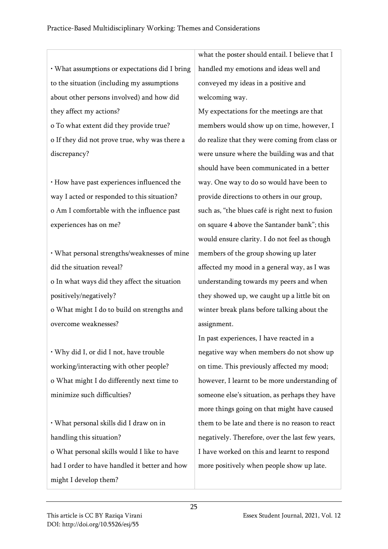|                                                | what the poster should entail. I believe that I  |
|------------------------------------------------|--------------------------------------------------|
| · What assumptions or expectations did I bring | handled my emotions and ideas well and           |
| to the situation (including my assumptions     | conveyed my ideas in a positive and              |
| about other persons involved) and how did      | welcoming way.                                   |
| they affect my actions?                        | My expectations for the meetings are that        |
| o To what extent did they provide true?        | members would show up on time, however, I        |
| o If they did not prove true, why was there a  | do realize that they were coming from class or   |
| discrepancy?                                   | were unsure where the building was and that      |
|                                                | should have been communicated in a better        |
| · How have past experiences influenced the     | way. One way to do so would have been to         |
| way I acted or responded to this situation?    | provide directions to others in our group,       |
| o Am I comfortable with the influence past     | such as, "the blues café is right next to fusion |
| experiences has on me?                         | on square 4 above the Santander bank"; this      |
|                                                | would ensure clarity. I do not feel as though    |
| · What personal strengths/weaknesses of mine   | members of the group showing up later            |
| did the situation reveal?                      | affected my mood in a general way, as I was      |
| o In what ways did they affect the situation   | understanding towards my peers and when          |
| positively/negatively?                         | they showed up, we caught up a little bit on     |
| o What might I do to build on strengths and    | winter break plans before talking about the      |
| overcome weaknesses?                           | assignment.                                      |
|                                                | In past experiences, I have reacted in a         |

• Why did I, or did I not, have trouble working/interacting with other people? o What might I do differently next time to minimize such difficulties?

• What personal skills did I draw on in handling this situation? o What personal skills would I like to have had I order to have handled it better and how might I develop them?

In past experiences, I have reacted in a negative way when members do not show up on time. This previously affected my mood; however, I learnt to be more understanding of someone else's situation, as perhaps they have more things going on that might have caused them to be late and there is no reason to react negatively. Therefore, over the last few years, I have worked on this and learnt to respond more positively when people show up late.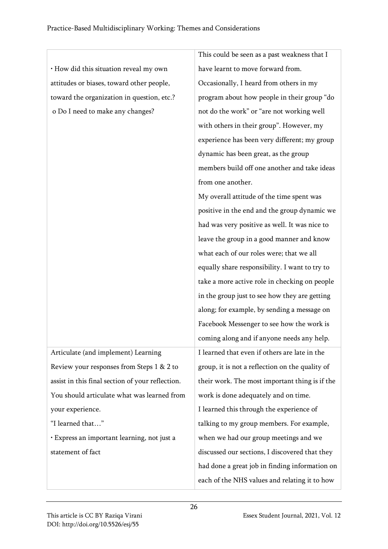|                                                  | This could be seen as a past weakness that I    |
|--------------------------------------------------|-------------------------------------------------|
| · How did this situation reveal my own           | have learnt to move forward from.               |
| attitudes or biases, toward other people,        | Occasionally, I heard from others in my         |
| toward the organization in question, etc.?       | program about how people in their group "do     |
| o Do I need to make any changes?                 | not do the work" or "are not working well       |
|                                                  | with others in their group". However, my        |
|                                                  | experience has been very different; my group    |
|                                                  | dynamic has been great, as the group            |
|                                                  | members build off one another and take ideas    |
|                                                  | from one another.                               |
|                                                  | My overall attitude of the time spent was       |
|                                                  | positive in the end and the group dynamic we    |
|                                                  | had was very positive as well. It was nice to   |
|                                                  | leave the group in a good manner and know       |
|                                                  | what each of our roles were; that we all        |
|                                                  | equally share responsibility. I want to try to  |
|                                                  | take a more active role in checking on people   |
|                                                  | in the group just to see how they are getting   |
|                                                  | along; for example, by sending a message on     |
|                                                  | Facebook Messenger to see how the work is       |
|                                                  | coming along and if anyone needs any help.      |
| Articulate (and implement) Learning              | I learned that even if others are late in the   |
| Review your responses from Steps 1 & 2 to        | group, it is not a reflection on the quality of |
| assist in this final section of your reflection. | their work. The most important thing is if the  |
| You should articulate what was learned from      | work is done adequately and on time.            |
| your experience.                                 | I learned this through the experience of        |
| "I learned that"                                 | talking to my group members. For example,       |
| · Express an important learning, not just a      | when we had our group meetings and we           |
| statement of fact                                | discussed our sections, I discovered that they  |
|                                                  | had done a great job in finding information on  |
|                                                  | each of the NHS values and relating it to how   |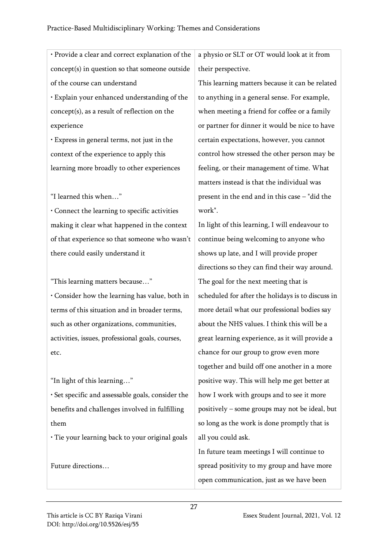• Provide a clear and correct explanation of the concept(s) in question so that someone outside of the course can understand • Explain your enhanced understanding of the concept(s), as a result of reflection on the experience

• Express in general terms, not just in the context of the experience to apply this learning more broadly to other experiences

"I learned this when…"

• Connect the learning to specific activities making it clear what happened in the context of that experience so that someone who wasn't there could easily understand it

"This learning matters because…"

• Consider how the learning has value, both in terms of this situation and in broader terms, such as other organizations, communities, activities, issues, professional goals, courses, etc.

"In light of this learning…"

• Set specific and assessable goals, consider the benefits and challenges involved in fulfilling them

• Tie your learning back to your original goals

Future directions…

a physio or SLT or OT would look at it from their perspective.

This learning matters because it can be related to anything in a general sense. For example, when meeting a friend for coffee or a family or partner for dinner it would be nice to have certain expectations, however, you cannot control how stressed the other person may be feeling, or their management of time. What matters instead is that the individual was present in the end and in this case – "did the work".

In light of this learning, I will endeavour to continue being welcoming to anyone who shows up late, and I will provide proper directions so they can find their way around. The goal for the next meeting that is scheduled for after the holidays is to discuss in more detail what our professional bodies say about the NHS values. I think this will be a great learning experience, as it will provide a chance for our group to grow even more together and build off one another in a more positive way. This will help me get better at how I work with groups and to see it more positively – some groups may not be ideal, but so long as the work is done promptly that is all you could ask.

In future team meetings I will continue to spread positivity to my group and have more open communication, just as we have been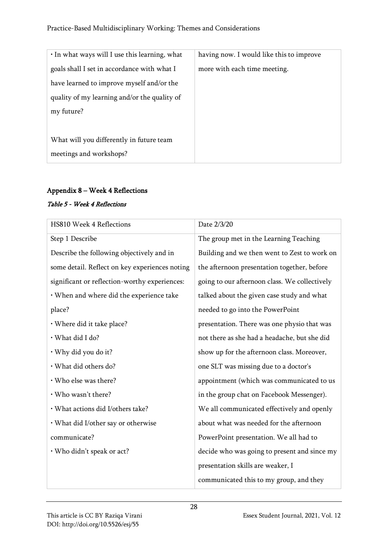| $\cdot$ In what ways will I use this learning, what | having now. I would like this to improve |
|-----------------------------------------------------|------------------------------------------|
| goals shall I set in accordance with what I         | more with each time meeting.             |
| have learned to improve myself and/or the           |                                          |
| quality of my learning and/or the quality of        |                                          |
| my future?                                          |                                          |
|                                                     |                                          |
| What will you differently in future team            |                                          |
| meetings and workshops?                             |                                          |

# Appendix 8 – Week 4 Reflections

#### Table 5 - Week 4 Reflections

| <b>HS810 Week 4 Reflections</b>                | Date 2/3/20                                   |
|------------------------------------------------|-----------------------------------------------|
| Step 1 Describe                                | The group met in the Learning Teaching        |
| Describe the following objectively and in      | Building and we then went to Zest to work on  |
| some detail. Reflect on key experiences noting | the afternoon presentation together, before   |
| significant or reflection-worthy experiences:  | going to our afternoon class. We collectively |
| · When and where did the experience take       | talked about the given case study and what    |
| place?                                         | needed to go into the PowerPoint              |
| · Where did it take place?                     | presentation. There was one physio that was   |
| · What did I do?                               | not there as she had a headache, but she did  |
| · Why did you do it?                           | show up for the afternoon class. Moreover,    |
| · What did others do?                          | one SLT was missing due to a doctor's         |
| · Who else was there?                          | appointment (which was communicated to us     |
| · Who wasn't there?                            | in the group chat on Facebook Messenger).     |
| · What actions did I/others take?              | We all communicated effectively and openly    |
| • What did I/other say or otherwise            | about what was needed for the afternoon       |
| communicate?                                   | PowerPoint presentation. We all had to        |
| · Who didn't speak or act?                     | decide who was going to present and since my  |
|                                                | presentation skills are weaker, I             |
|                                                | communicated this to my group, and they       |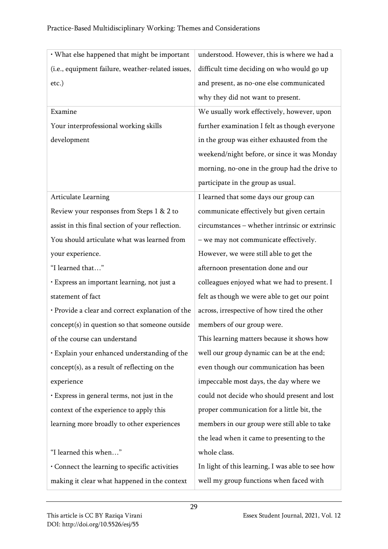| · What else happened that might be important      | understood. However, this is where we had a      |
|---------------------------------------------------|--------------------------------------------------|
| (i.e., equipment failure, weather-related issues, | difficult time deciding on who would go up       |
| $etc.$ )                                          | and present, as no-one else communicated         |
|                                                   | why they did not want to present.                |
| Examine                                           | We usually work effectively, however, upon       |
| Your interprofessional working skills             | further examination I felt as though everyone    |
| development                                       | in the group was either exhausted from the       |
|                                                   | weekend/night before, or since it was Monday     |
|                                                   | morning, no-one in the group had the drive to    |
|                                                   | participate in the group as usual.               |
| Articulate Learning                               | I learned that some days our group can           |
| Review your responses from Steps 1 & 2 to         | communicate effectively but given certain        |
| assist in this final section of your reflection.  | circumstances - whether intrinsic or extrinsic   |
| You should articulate what was learned from       | - we may not communicate effectively.            |
| your experience.                                  | However, we were still able to get the           |
| "I learned that"                                  | afternoon presentation done and our              |
| · Express an important learning, not just a       | colleagues enjoyed what we had to present. I     |
| statement of fact                                 | felt as though we were able to get our point     |
| · Provide a clear and correct explanation of the  | across, irrespective of how tired the other      |
| concept(s) in question so that someone outside    | members of our group were.                       |
| of the course can understand                      | This learning matters because it shows how       |
| · Explain your enhanced understanding of the      | well our group dynamic can be at the end;        |
| concept(s), as a result of reflecting on the      | even though our communication has been           |
| experience                                        | impeccable most days, the day where we           |
| · Express in general terms, not just in the       | could not decide who should present and lost     |
| context of the experience to apply this           | proper communication for a little bit, the       |
| learning more broadly to other experiences        | members in our group were still able to take     |
|                                                   | the lead when it came to presenting to the       |
| "I learned this when"                             | whole class.                                     |
| Connect the learning to specific activities       | In light of this learning, I was able to see how |
| making it clear what happened in the context      | well my group functions when faced with          |